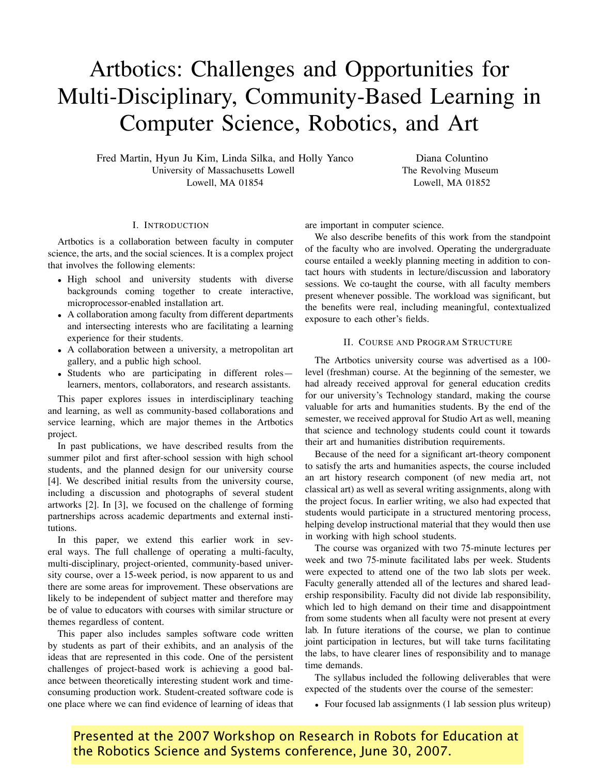# Artbotics: Challenges and Opportunities for Multi-Disciplinary, Community-Based Learning in Computer Science, Robotics, and Art

Fred Martin, Hyun Ju Kim, Linda Silka, and Holly Yanco University of Massachusetts Lowell Lowell, MA 01854

## I. INTRODUCTION

Artbotics is a collaboration between faculty in computer science, the arts, and the social sciences. It is a complex project that involves the following elements:

- High school and university students with diverse backgrounds coming together to create interactive, microprocessor-enabled installation art.
- A collaboration among faculty from different departments and intersecting interests who are facilitating a learning experience for their students.
- A collaboration between a university, a metropolitan art gallery, and a public high school.
- Students who are participating in different roles learners, mentors, collaborators, and research assistants.

This paper explores issues in interdisciplinary teaching and learning, as well as community-based collaborations and service learning, which are major themes in the Artbotics project.

In past publications, we have described results from the summer pilot and first after-school session with high school students, and the planned design for our university course [4]. We described initial results from the university course, including a discussion and photographs of several student artworks [2]. In [3], we focused on the challenge of forming partnerships across academic departments and external institutions.

In this paper, we extend this earlier work in several ways. The full challenge of operating a multi-faculty, multi-disciplinary, project-oriented, community-based university course, over a 15-week period, is now apparent to us and there are some areas for improvement. These observations are likely to be independent of subject matter and therefore may be of value to educators with courses with similar structure or themes regardless of content.

This paper also includes samples software code written by students as part of their exhibits, and an analysis of the ideas that are represented in this code. One of the persistent challenges of project-based work is achieving a good balance between theoretically interesting student work and timeconsuming production work. Student-created software code is one place where we can find evidence of learning of ideas that are important in computer science.

We also describe benefits of this work from the standpoint of the faculty who are involved. Operating the undergraduate course entailed a weekly planning meeting in addition to contact hours with students in lecture/discussion and laboratory sessions. We co-taught the course, with all faculty members present whenever possible. The workload was significant, but the benefits were real, including meaningful, contextualized exposure to each other's fields.

Diana Coluntino The Revolving Museum Lowell, MA 01852

## II. COURSE AND PROGRAM STRUCTURE

The Artbotics university course was advertised as a 100 level (freshman) course. At the beginning of the semester, we had already received approval for general education credits for our university's Technology standard, making the course valuable for arts and humanities students. By the end of the semester, we received approval for Studio Art as well, meaning that science and technology students could count it towards their art and humanities distribution requirements.

Because of the need for a significant art-theory component to satisfy the arts and humanities aspects, the course included an art history research component (of new media art, not classical art) as well as several writing assignments, along with the project focus. In earlier writing, we also had expected that students would participate in a structured mentoring process, helping develop instructional material that they would then use in working with high school students.

The course was organized with two 75-minute lectures per week and two 75-minute facilitated labs per week. Students were expected to attend one of the two lab slots per week. Faculty generally attended all of the lectures and shared leadership responsibility. Faculty did not divide lab responsibility, which led to high demand on their time and disappointment from some students when all faculty were not present at every lab. In future iterations of the course, we plan to continue joint participation in lectures, but will take turns facilitating the labs, to have clearer lines of responsibility and to manage time demands.

The syllabus included the following deliverables that were expected of the students over the course of the semester:

• Four focused lab assignments (1 lab session plus writeup)

Presented at the 2007 Workshop on Research in Robots for Education at the Robotics Science and Systems conference, June 30, 2007.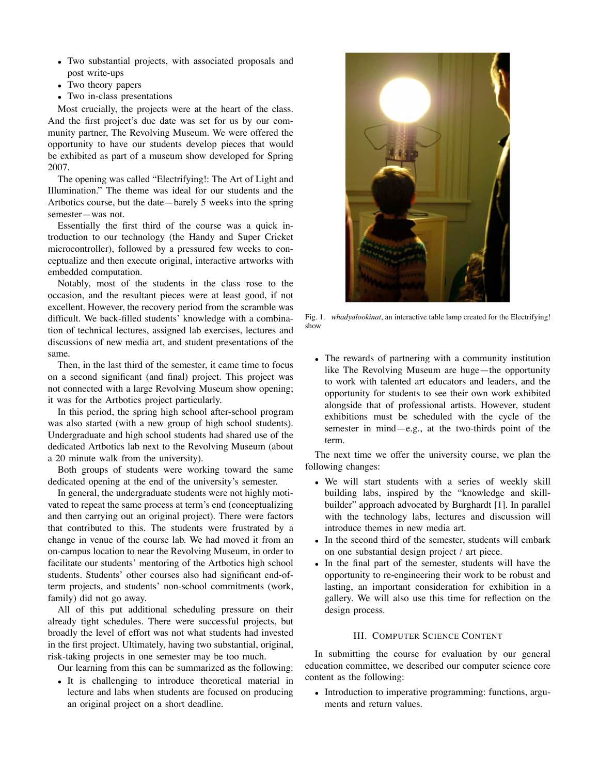- Two substantial projects, with associated proposals and post write-ups
- Two theory papers
- Two in-class presentations

Most crucially, the projects were at the heart of the class. And the first project's due date was set for us by our community partner, The Revolving Museum. We were offered the opportunity to have our students develop pieces that would be exhibited as part of a museum show developed for Spring 2007.

The opening was called "Electrifying!: The Art of Light and Illumination." The theme was ideal for our students and the Artbotics course, but the date—barely 5 weeks into the spring semester—was not.

Essentially the first third of the course was a quick introduction to our technology (the Handy and Super Cricket microcontroller), followed by a pressured few weeks to conceptualize and then execute original, interactive artworks with embedded computation.

Notably, most of the students in the class rose to the occasion, and the resultant pieces were at least good, if not excellent. However, the recovery period from the scramble was difficult. We back-filled students' knowledge with a combination of technical lectures, assigned lab exercises, lectures and discussions of new media art, and student presentations of the same.

Then, in the last third of the semester, it came time to focus on a second significant (and final) project. This project was not connected with a large Revolving Museum show opening; it was for the Artbotics project particularly.

In this period, the spring high school after-school program was also started (with a new group of high school students). Undergraduate and high school students had shared use of the dedicated Artbotics lab next to the Revolving Museum (about a 20 minute walk from the university).

Both groups of students were working toward the same dedicated opening at the end of the university's semester.

In general, the undergraduate students were not highly motivated to repeat the same process at term's end (conceptualizing and then carrying out an original project). There were factors that contributed to this. The students were frustrated by a change in venue of the course lab. We had moved it from an on-campus location to near the Revolving Museum, in order to facilitate our students' mentoring of the Artbotics high school students. Students' other courses also had significant end-ofterm projects, and students' non-school commitments (work, family) did not go away.

All of this put additional scheduling pressure on their already tight schedules. There were successful projects, but broadly the level of effort was not what students had invested in the first project. Ultimately, having two substantial, original, risk-taking projects in one semester may be too much.

Our learning from this can be summarized as the following:

• It is challenging to introduce theoretical material in lecture and labs when students are focused on producing an original project on a short deadline.



Fig. 1. *whadyalookinat*, an interactive table lamp created for the Electrifying! show

• The rewards of partnering with a community institution like The Revolving Museum are huge—the opportunity to work with talented art educators and leaders, and the opportunity for students to see their own work exhibited alongside that of professional artists. However, student exhibitions must be scheduled with the cycle of the semester in mind—e.g., at the two-thirds point of the term.

The next time we offer the university course, we plan the following changes:

- We will start students with a series of weekly skill building labs, inspired by the "knowledge and skillbuilder" approach advocated by Burghardt [1]. In parallel with the technology labs, lectures and discussion will introduce themes in new media art.
- In the second third of the semester, students will embark on one substantial design project / art piece.
- In the final part of the semester, students will have the opportunity to re-engineering their work to be robust and lasting, an important consideration for exhibition in a gallery. We will also use this time for reflection on the design process.

## III. COMPUTER SCIENCE CONTENT

In submitting the course for evaluation by our general education committee, we described our computer science core content as the following:

• Introduction to imperative programming: functions, arguments and return values.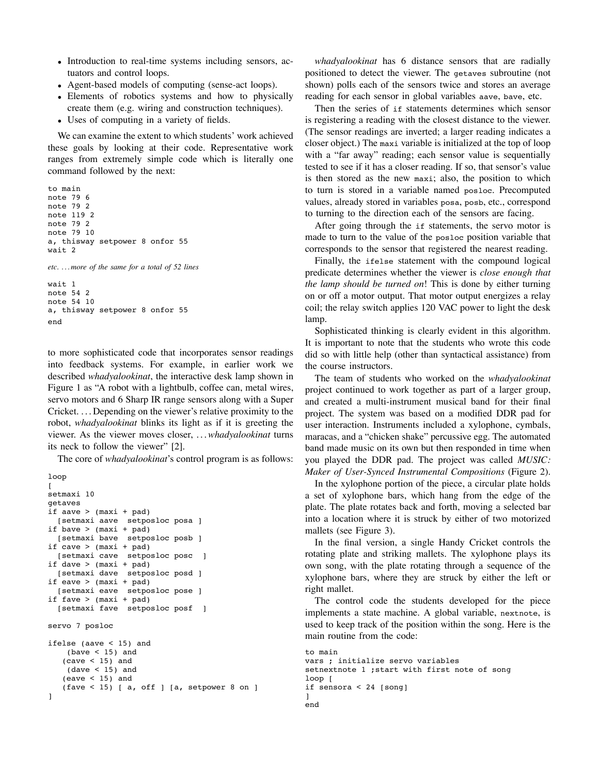- Introduction to real-time systems including sensors, actuators and control loops.
- Agent-based models of computing (sense-act loops).
- Elements of robotics systems and how to physically create them (e.g. wiring and construction techniques).
- Uses of computing in a variety of fields.

We can examine the extent to which students' work achieved these goals by looking at their code. Representative work ranges from extremely simple code which is literally one command followed by the next:

```
to main
note 79 6
note 79 2
note 119 2
note 79 2
note 79 10
a, thisway setpower 8 onfor 55
wait 2
etc. . . . more of the same for a total of 52 lines
```

```
wait 1
note 54 2
note 54 10
a, thisway setpower 8 onfor 55
end
```
to more sophisticated code that incorporates sensor readings into feedback systems. For example, in earlier work we described *whadyalookinat*, the interactive desk lamp shown in Figure 1 as "A robot with a lightbulb, coffee can, metal wires, servo motors and 6 Sharp IR range sensors along with a Super Cricket. . . . Depending on the viewer's relative proximity to the robot, *whadyalookinat* blinks its light as if it is greeting the viewer. As the viewer moves closer, . . .*whadyalookinat* turns its neck to follow the viewer" [2].

The core of *whadyalookinat*'s control program is as follows:

```
loop
\sqrt{2}setmaxi 10
getaves
if aave > (maxi + pad)
  [setmaxi aave setposloc posa ]
if bave > (maxi + pad)
  [setmaxi bave setposloc posb ]
if cave > (maxi + pad)
  [setmaxi cave setposloc posc ]
if dave > (maxi + pad)
  [setmaxi dave setposloc posd ]
if eave > (maxi + pad)
  [setmaxi eave setposloc pose ]
if fave > (maxi + pad)
  [setmaxi fave setposloc posf ]
servo 7 posloc
ifelse (aave < 15) and
    (bave < 15) and
   (cave < 15) and
    (dave < 15) and
   (eave < 15) and
   (fave < 15) [ a, off ] [a, setpower 8 on ]
]
```
*whadyalookinat* has 6 distance sensors that are radially positioned to detect the viewer. The getaves subroutine (not shown) polls each of the sensors twice and stores an average reading for each sensor in global variables aave, bave, etc.

Then the series of if statements determines which sensor is registering a reading with the closest distance to the viewer. (The sensor readings are inverted; a larger reading indicates a closer object.) The maxi variable is initialized at the top of loop with a "far away" reading; each sensor value is sequentially tested to see if it has a closer reading. If so, that sensor's value is then stored as the new maxi; also, the position to which to turn is stored in a variable named posloc. Precomputed values, already stored in variables posa, posb, etc., correspond to turning to the direction each of the sensors are facing.

After going through the if statements, the servo motor is made to turn to the value of the posloc position variable that corresponds to the sensor that registered the nearest reading.

Finally, the ifelse statement with the compound logical predicate determines whether the viewer is *close enough that the lamp should be turned on*! This is done by either turning on or off a motor output. That motor output energizes a relay coil; the relay switch applies 120 VAC power to light the desk lamp.

Sophisticated thinking is clearly evident in this algorithm. It is important to note that the students who wrote this code did so with little help (other than syntactical assistance) from the course instructors.

The team of students who worked on the *whadyalookinat* project continued to work together as part of a larger group, and created a multi-instrument musical band for their final project. The system was based on a modified DDR pad for user interaction. Instruments included a xylophone, cymbals, maracas, and a "chicken shake" percussive egg. The automated band made music on its own but then responded in time when you played the DDR pad. The project was called *MUSIC: Maker of User-Synced Instrumental Compositions* (Figure 2).

In the xylophone portion of the piece, a circular plate holds a set of xylophone bars, which hang from the edge of the plate. The plate rotates back and forth, moving a selected bar into a location where it is struck by either of two motorized mallets (see Figure 3).

In the final version, a single Handy Cricket controls the rotating plate and striking mallets. The xylophone plays its own song, with the plate rotating through a sequence of the xylophone bars, where they are struck by either the left or right mallet.

The control code the students developed for the piece implements a state machine. A global variable, nextnote, is used to keep track of the position within the song. Here is the main routine from the code:

```
to main
vars ; initialize servo variables
setnextnote 1 ; start with first note of song
loop [
if sensora < 24 [song]
]
end
```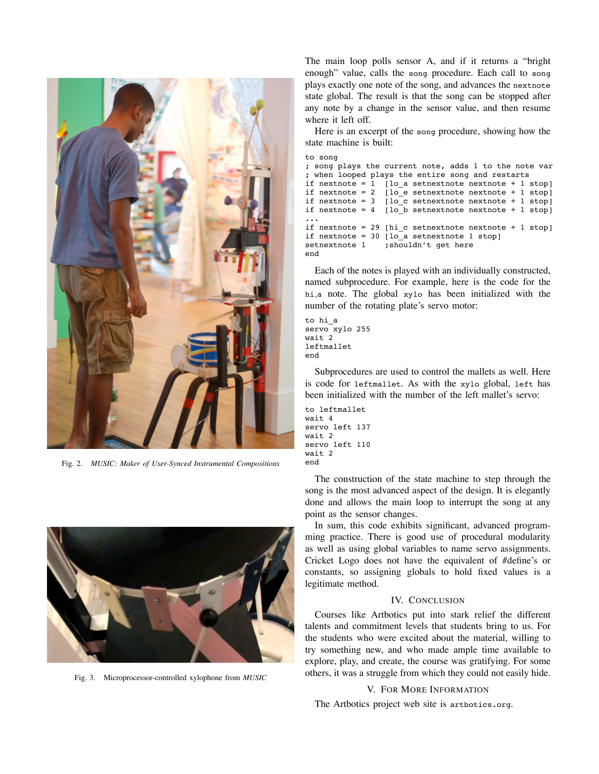

Fig. 2. *MUSIC: Maker of User-Synced Instrumental Compositions*



Fig. 3. Microprocessor-controlled xylophone from *MUSIC*

The main loop polls sensor A, and if it returns a "bright enough" value, calls the song procedure. Each call to song plays exactly one note of the song, and advances the nextnote state global. The result is that the song can be stopped after any note by a change in the sensor value, and then resume where it left off.

Here is an excerpt of the song procedure, showing how the state machine is built:

```
to song
; song plays the current note, adds 1 to the note var
 when looped plays the entire song and restarts
if nextnote = 1 [lo_a setnextnote nextnote + 1 stop]
if nextnote = 2 [lo_e setnextnote nextnote + 1 stop]
if nextnote = 3 [lo c setnextnote nextnote + 1 stop]
if nextnote = 4 [lo_b setnextnote nextnote + 1 stop]
...
if nextnote = 29 [hi c setnextnote nextnote + 1 stop]
if nextnote = 30 [lo_a setnextnote 1 stop]
setnextnote 1 ; shouldn't get here
end
```
Each of the notes is played with an individually constructed, named subprocedure. For example, here is the code for the hi a note. The global xylo has been initialized with the number of the rotating plate's servo motor:

```
to hi_a
servo xylo 255
wait 2
leftmallet
end
```
Subprocedures are used to control the mallets as well. Here is code for leftmallet. As with the xylo global, left has been initialized with the number of the left mallet's servo:

```
to leftmallet
wait 4
servo left 137
wait 2
servo left 110
wait 2
end
```
The construction of the state machine to step through the song is the most advanced aspect of the design. It is elegantly done and allows the main loop to interrupt the song at any point as the sensor changes.

In sum, this code exhibits significant, advanced programming practice. There is good use of procedural modularity as well as using global variables to name servo assignments. Cricket Logo does not have the equivalent of #define's or constants, so assigning globals to hold fixed values is a legitimate method.

#### IV. CONCLUSION

Courses like Artbotics put into stark relief the different talents and commitment levels that students bring to us. For the students who were excited about the material, willing to try something new, and who made ample time available to explore, play, and create, the course was gratifying. For some others, it was a struggle from which they could not easily hide.

### V. FOR MORE INFORMATION

The Artbotics project web site is artbotics.org.